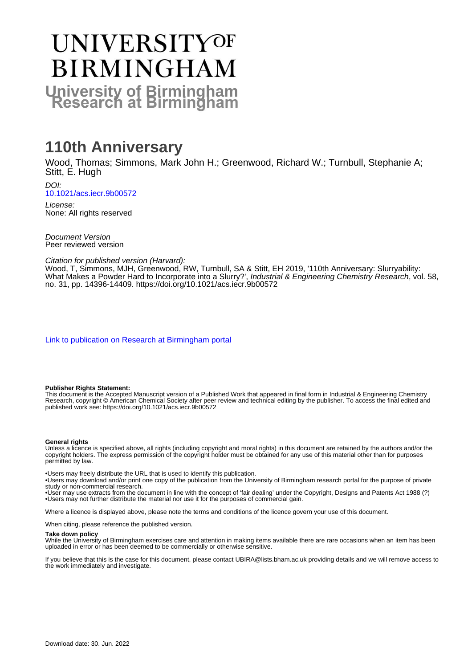# UNIVERSITYOF **BIRMINGHAM University of Birmingham**

# **110th Anniversary**

Wood, Thomas; Simmons, Mark John H.; Greenwood, Richard W.; Turnbull, Stephanie A; Stitt, E. Hugh

DOI: [10.1021/acs.iecr.9b00572](https://doi.org/10.1021/acs.iecr.9b00572)

License: None: All rights reserved

Document Version Peer reviewed version

Citation for published version (Harvard):

Wood, T, Simmons, MJH, Greenwood, RW, Turnbull, SA & Stitt, EH 2019, '110th Anniversary: Slurryability: What Makes a Powder Hard to Incorporate into a Slurry?', Industrial & Engineering Chemistry Research, vol. 58, no. 31, pp. 14396-14409. <https://doi.org/10.1021/acs.iecr.9b00572>

[Link to publication on Research at Birmingham portal](https://birmingham.elsevierpure.com/en/publications/532e53d6-9551-4773-aeae-30b94bec6bac)

#### **Publisher Rights Statement:**

This document is the Accepted Manuscript version of a Published Work that appeared in final form in Industrial & Engineering Chemistry Research, copyright © American Chemical Society after peer review and technical editing by the publisher. To access the final edited and published work see: https://doi.org/10.1021/acs.iecr.9b00572

#### **General rights**

Unless a licence is specified above, all rights (including copyright and moral rights) in this document are retained by the authors and/or the copyright holders. The express permission of the copyright holder must be obtained for any use of this material other than for purposes permitted by law.

• Users may freely distribute the URL that is used to identify this publication.

• Users may download and/or print one copy of the publication from the University of Birmingham research portal for the purpose of private study or non-commercial research.

• User may use extracts from the document in line with the concept of 'fair dealing' under the Copyright, Designs and Patents Act 1988 (?) • Users may not further distribute the material nor use it for the purposes of commercial gain.

Where a licence is displayed above, please note the terms and conditions of the licence govern your use of this document.

When citing, please reference the published version.

#### **Take down policy**

While the University of Birmingham exercises care and attention in making items available there are rare occasions when an item has been uploaded in error or has been deemed to be commercially or otherwise sensitive.

If you believe that this is the case for this document, please contact UBIRA@lists.bham.ac.uk providing details and we will remove access to the work immediately and investigate.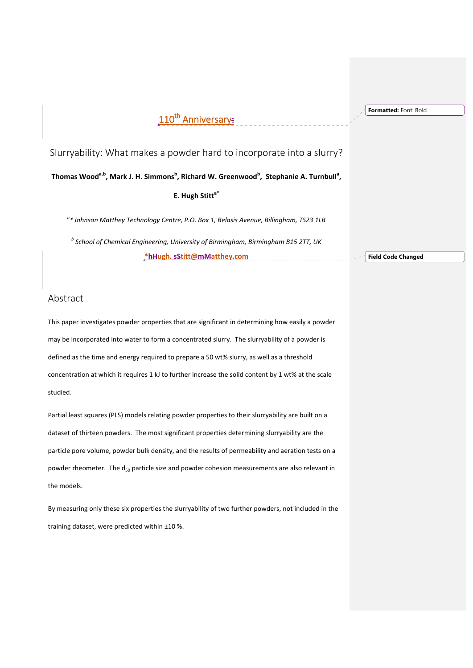# 110<sup>th</sup> Anniversary:

**Formatted:** Font: Bold

Slurryability: What makes a powder hard to incorporate into a slurry?

**Thomas Wooda,b, Mark J. H. Simmons<sup>b</sup> , Richard W. Greenwood<sup>b</sup> , Stephanie A. Turnbulla ,**

**E. Hugh Stitta\*** 

*a \* Johnson Matthey Technology Centre, P.O. Box 1, Belasis Avenue, Billingham, TS23 1LB* 

*<sup>b</sup> School of Chemical Engineering, University of Birmingham, Birmingham B15 2TT, UK* **\*hHugh. sStitt@mMatthey.com** 

**Field Code Changed**

# Abstract

This paper investigates powder properties that are significant in determining how easily a powder may be incorporated into water to form a concentrated slurry. The slurryability of a powder is defined as the time and energy required to prepare a 50 wt% slurry, as well as a threshold concentration at which it requires 1 kJ to further increase the solid content by 1 wt% at the scale studied.

Partial least squares (PLS) models relating powder properties to their slurryability are built on a dataset of thirteen powders. The most significant properties determining slurryability are the particle pore volume, powder bulk density, and the results of permeability and aeration tests on a powder rheometer. The d<sub>50</sub> particle size and powder cohesion measurements are also relevant in the models.

By measuring only these six properties the slurryability of two further powders, not included in the training dataset, were predicted within ±10 %.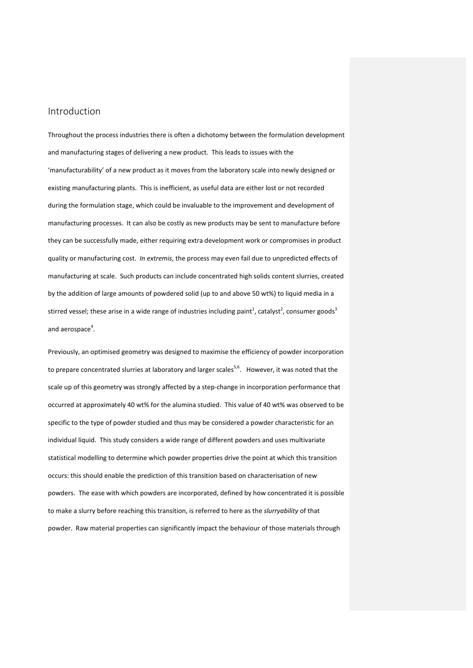# Introduction

Throughout the process industries there is often a dichotomy between the formulation development and manufacturing stages of delivering a new product. This leads to issues with the 'manufacturability' of a new product as it moves from the laboratory scale into newly designed or existing manufacturing plants. This is inefficient, as useful data are either lost or not recorded during the formulation stage, which could be invaluable to the improvement and development of manufacturing processes. It can also be costly as new products may be sent to manufacture before they can be successfully made, either requiring extra development work or compromises in product quality or manufacturing cost. *In extremis*, the process may even fail due to unpredicted effects of manufacturing at scale. Such products can include concentrated high solids content slurries, created by the addition of large amounts of powdered solid (up to and above 50 wt%) to liquid media in a stirred vessel; these arise in a wide range of industries including paint<sup>1</sup>, catalyst<sup>2</sup>, consumer goods<sup>3</sup> and aerospace<sup>4</sup>.

Previously, an optimised geometry was designed to maximise the efficiency of powder incorporation to prepare concentrated slurries at laboratory and larger scales<sup>5,6</sup>. However, it was noted that the scale up of this geometry was strongly affected by a step-change in incorporation performance that occurred at approximately 40 wt% for the alumina studied. This value of 40 wt% was observed to be specific to the type of powder studied and thus may be considered a powder characteristic for an individual liquid. This study considers a wide range of different powders and uses multivariate statistical modelling to determine which powder properties drive the point at which this transition occurs: this should enable the prediction of this transition based on characterisation of new powders. The ease with which powders are incorporated, defined by how concentrated it is possible to make a slurry before reaching this transition, is referred to here as the *slurryability* of that powder. Raw material properties can significantly impact the behaviour of those materials through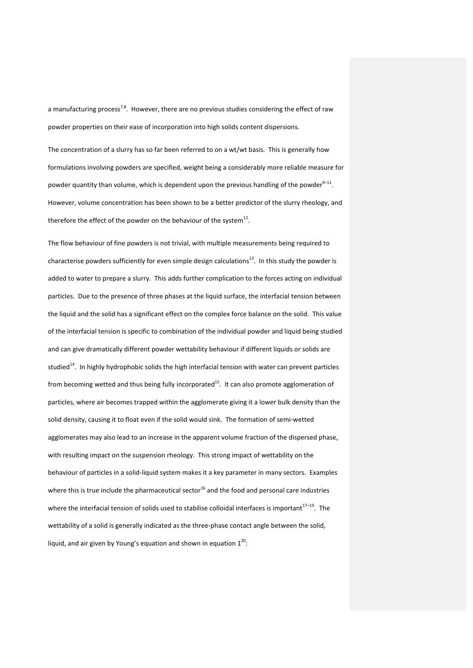a manufacturing process<sup>7,8</sup>. However, there are no previous studies considering the effect of raw powder properties on their ease of incorporation into high solids content dispersions.

The concentration of a slurry has so far been referred to on a wt/wt basis. This is generally how formulations involving powders are specified, weight being a considerably more reliable measure for powder quantity than volume, which is dependent upon the previous handling of the powder<sup>9-11</sup>. However, volume concentration has been shown to be a better predictor of the slurry rheology, and therefore the effect of the powder on the behaviour of the system $^{12}$ .

The flow behaviour of fine powders is not trivial, with multiple measurements being required to characterise powders sufficiently for even simple design calculations<sup>13</sup>. In this study the powder is added to water to prepare a slurry. This adds further complication to the forces acting on individual particles. Due to the presence of three phases at the liquid surface, the interfacial tension between the liquid and the solid has a significant effect on the complex force balance on the solid. This value of the interfacial tension is specific to combination of the individual powder and liquid being studied and can give dramatically different powder wettability behaviour if different liquids or solids are studied<sup>14</sup>. In highly hydrophobic solids the high interfacial tension with water can prevent particles from becoming wetted and thus being fully incorporated<sup>15</sup>. It can also promote agglomeration of particles, where air becomes trapped within the agglomerate giving it a lower bulk density than the solid density, causing it to float even if the solid would sink. The formation of semi-wetted agglomerates may also lead to an increase in the apparent volume fraction of the dispersed phase, with resulting impact on the suspension rheology. This strong impact of wettability on the behaviour of particles in a solid‐liquid system makes it a key parameter in many sectors. Examples where this is true include the pharmaceutical sector<sup>16</sup> and the food and personal care industries where the interfacial tension of solids used to stabilise colloidal interfaces is important $17-19$ . The wettability of a solid is generally indicated as the three-phase contact angle between the solid, liquid, and air given by Young's equation and shown in equation  $1^{20}$ :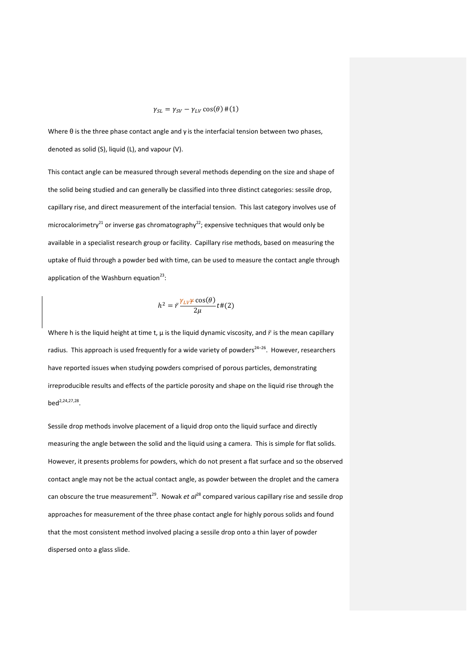$$
\gamma_{SL} = \gamma_{SV} - \gamma_{LV} \cos(\theta) \, \#(1)
$$

Where θ is the three phase contact angle and γ is the interfacial tension between two phases, denoted as solid (S), liquid (L), and vapour (V).

This contact angle can be measured through several methods depending on the size and shape of the solid being studied and can generally be classified into three distinct categories: sessile drop, capillary rise, and direct measurement of the interfacial tension. This last category involves use of microcalorimetry<sup>21</sup> or inverse gas chromatography<sup>22</sup>; expensive techniques that would only be available in a specialist research group or facility. Capillary rise methods, based on measuring the uptake of fluid through a powder bed with time, can be used to measure the contact angle through application of the Washburn equation $^{23}$ :

$$
h^2 = \bar{r} \frac{\gamma_{LV} \gamma \cos(\theta)}{2\mu} t \#(2)
$$

Where h is the liquid height at time t,  $\mu$  is the liquid dynamic viscosity, and  $\bar{r}$  is the mean capillary radius. This approach is used frequently for a wide variety of powders $24-26$ . However, researchers have reported issues when studying powders comprised of porous particles, demonstrating irreproducible results and effects of the particle porosity and shape on the liquid rise through the bed<sup>2,24,27,28</sup>

Sessile drop methods involve placement of a liquid drop onto the liquid surface and directly measuring the angle between the solid and the liquid using a camera. This is simple for flat solids. However, it presents problems for powders, which do not present a flat surface and so the observed contact angle may not be the actual contact angle, as powder between the droplet and the camera can obscure the true measurement<sup>29</sup>. Nowak *et al*<sup>28</sup> compared various capillary rise and sessile drop approaches for measurement of the three phase contact angle for highly porous solids and found that the most consistent method involved placing a sessile drop onto a thin layer of powder dispersed onto a glass slide.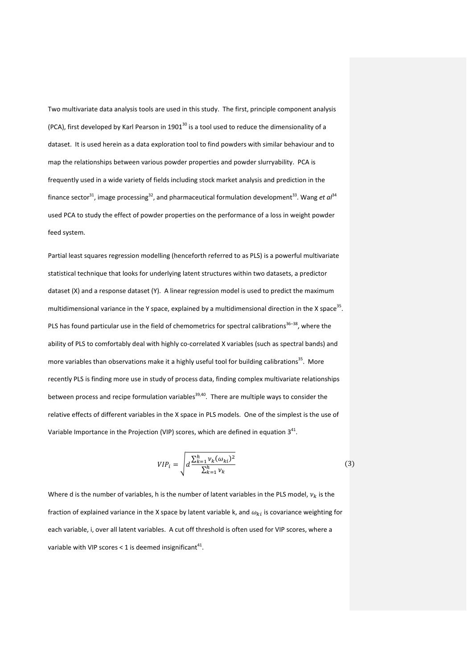Two multivariate data analysis tools are used in this study. The first, principle component analysis (PCA), first developed by Karl Pearson in 1901<sup>30</sup> is a tool used to reduce the dimensionality of a dataset. It is used herein as a data exploration tool to find powders with similar behaviour and to map the relationships between various powder properties and powder slurryability. PCA is frequently used in a wide variety of fields including stock market analysis and prediction in the finance sector<sup>31</sup>, image processing<sup>32</sup>, and pharmaceutical formulation development<sup>33</sup>. Wang *et*  $a^{j34}$ used PCA to study the effect of powder properties on the performance of a loss in weight powder feed system.

Partial least squares regression modelling (henceforth referred to as PLS) is a powerful multivariate statistical technique that looks for underlying latent structures within two datasets, a predictor dataset (X) and a response dataset (Y). A linear regression model is used to predict the maximum multidimensional variance in the Y space, explained by a multidimensional direction in the X space<sup>35</sup>. PLS has found particular use in the field of chemometrics for spectral calibrations<sup>36–38</sup>, where the ability of PLS to comfortably deal with highly co-correlated X variables (such as spectral bands) and more variables than observations make it a highly useful tool for building calibrations<sup>35</sup>. More recently PLS is finding more use in study of process data, finding complex multivariate relationships between process and recipe formulation variables $39,40$ . There are multiple ways to consider the relative effects of different variables in the X space in PLS models. One of the simplest is the use of Variable Importance in the Projection (VIP) scores, which are defined in equation  $3^{41}$ .

$$
VIP_i = \sqrt{d \frac{\sum_{k=1}^{h} \nu_k (\omega_{ki})^2}{\sum_{k=1}^{h} \nu_k}}
$$
(3)

Where d is the number of variables, h is the number of latent variables in the PLS model,  $v_k$  is the fraction of explained variance in the X space by latent variable k, and  $\omega_{ki}$  is covariance weighting for each variable, i, over all latent variables. A cut off threshold is often used for VIP scores, where a variable with VIP scores < 1 is deemed insignificant<sup>41</sup>.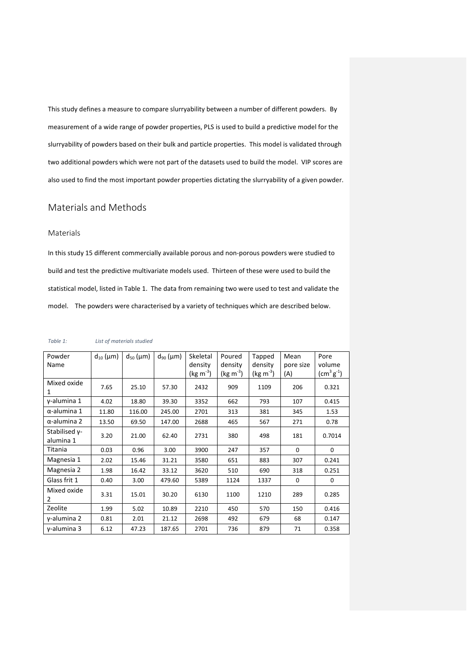This study defines a measure to compare slurryability between a number of different powders. By measurement of a wide range of powder properties, PLS is used to build a predictive model for the slurryability of powders based on their bulk and particle properties. This model is validated through two additional powders which were not part of the datasets used to build the model. VIP scores are also used to find the most important powder properties dictating the slurryability of a given powder.

# Materials and Methods

# Materials

In this study 15 different commercially available porous and non‐porous powders were studied to build and test the predictive multivariate models used. Thirteen of these were used to build the statistical model, listed in Table 1. The data from remaining two were used to test and validate the model. The powders were characterised by a variety of techniques which are described below.

| Powder                     | $d_{10}$ (µm) | $d_{50}$ (µm) | $d_{90}$ (µm) | Skeletal              | Poured           | Tapped               | Mean      | Pore        |
|----------------------------|---------------|---------------|---------------|-----------------------|------------------|----------------------|-----------|-------------|
| Name                       |               |               |               | density               | density          | density              | pore size | volume      |
|                            |               |               |               | (kg m <sup>-3</sup> ) | $(kg \, m^{-3})$ | $(\text{kg m}^{-3})$ | (A)       | $(cm3 g-1)$ |
| Mixed oxide<br>1           | 7.65          | 25.10         | 57.30         | 2432                  | 909              | 1109                 | 206       | 0.321       |
| γ-alumina 1                | 4.02          | 18.80         | 39.30         | 3352                  | 662              | 793                  | 107       | 0.415       |
| $\alpha$ -alumina 1        | 11.80         | 116.00        | 245.00        | 2701                  | 313              | 381                  | 345       | 1.53        |
| $\alpha$ -alumina 2        | 13.50         | 69.50         | 147.00        | 2688                  | 465              | 567                  | 271       | 0.78        |
| Stabilised γ-<br>alumina 1 | 3.20          | 21.00         | 62.40         | 2731                  | 380              | 498                  | 181       | 0.7014      |
| Titania                    | 0.03          | 0.96          | 3.00          | 3900                  | 247              | 357                  | $\Omega$  | $\Omega$    |
| Magnesia 1                 | 2.02          | 15.46         | 31.21         | 3580                  | 651              | 883                  | 307       | 0.241       |
| Magnesia 2                 | 1.98          | 16.42         | 33.12         | 3620                  | 510              | 690                  | 318       | 0.251       |
| Glass frit 1               | 0.40          | 3.00          | 479.60        | 5389                  | 1124             | 1337                 | 0         | 0           |
| Mixed oxide<br>2           | 3.31          | 15.01         | 30.20         | 6130                  | 1100             | 1210                 | 289       | 0.285       |
| Zeolite                    | 1.99          | 5.02          | 10.89         | 2210                  | 450              | 570                  | 150       | 0.416       |
| $\nu$ -alumina 2           | 0.81          | 2.01          | 21.12         | 2698                  | 492              | 679                  | 68        | 0.147       |
| $v$ -alumina 3             | 6.12          | 47.23         | 187.65        | 2701                  | 736              | 879                  | 71        | 0.358       |

*Table 1: List of materials studied*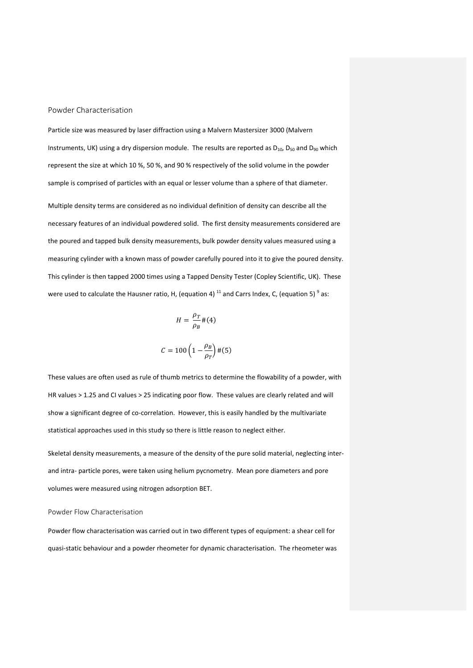Powder Characterisation

Particle size was measured by laser diffraction using a Malvern Mastersizer 3000 (Malvern Instruments, UK) using a dry dispersion module. The results are reported as  $D_{10}$ ,  $D_{50}$  and  $D_{90}$  which represent the size at which 10 %, 50 %, and 90 % respectively of the solid volume in the powder sample is comprised of particles with an equal or lesser volume than a sphere of that diameter.

Multiple density terms are considered as no individual definition of density can describe all the necessary features of an individual powdered solid. The first density measurements considered are the poured and tapped bulk density measurements, bulk powder density values measured using a measuring cylinder with a known mass of powder carefully poured into it to give the poured density. This cylinder is then tapped 2000 times using a Tapped Density Tester (Copley Scientific, UK). These were used to calculate the Hausner ratio, H, (equation 4)<sup>11</sup> and Carrs Index, C, (equation 5)<sup>9</sup> as:

$$
H = \frac{\rho_T}{\rho_B} \# (4)
$$

$$
C = 100 \left( 1 - \frac{\rho_B}{\rho_T} \right) \# (5)
$$

These values are often used as rule of thumb metrics to determine the flowability of a powder, with HR values > 1.25 and CI values > 25 indicating poor flow. These values are clearly related and will show a significant degree of co-correlation. However, this is easily handled by the multivariate statistical approaches used in this study so there is little reason to neglect either.

Skeletal density measurements, a measure of the density of the pure solid material, neglecting inter‐ and intra‐ particle pores, were taken using helium pycnometry. Mean pore diameters and pore volumes were measured using nitrogen adsorption BET.

## Powder Flow Characterisation

Powder flow characterisation was carried out in two different types of equipment: a shear cell for quasi‐static behaviour and a powder rheometer for dynamic characterisation. The rheometer was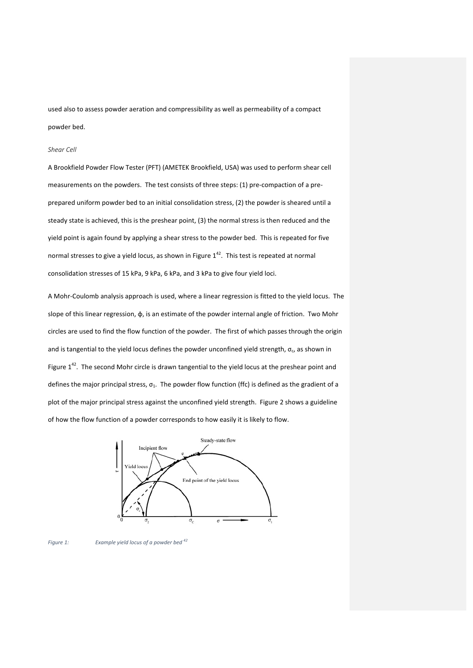used also to assess powder aeration and compressibility as well as permeability of a compact powder bed.

#### *Shear Cell*

A Brookfield Powder Flow Tester (PFT) (AMETEK Brookfield, USA) was used to perform shear cell measurements on the powders. The test consists of three steps: (1) pre-compaction of a preprepared uniform powder bed to an initial consolidation stress, (2) the powder is sheared until a steady state is achieved, this is the preshear point, (3) the normal stress is then reduced and the yield point is again found by applying a shear stress to the powder bed. This is repeated for five normal stresses to give a yield locus, as shown in Figure  $1^{42}$ . This test is repeated at normal consolidation stresses of 15 kPa, 9 kPa, 6 kPa, and 3 kPa to give four yield loci.

A Mohr‐Coulomb analysis approach is used, where a linear regression is fitted to the yield locus. The slope of this linear regression, φ, is an estimate of the powder internal angle of friction. Two Mohr circles are used to find the flow function of the powder. The first of which passes through the origin and is tangential to the yield locus defines the powder unconfined yield strength,  $\sigma_c$ , as shown in Figure  $1^{42}$ . The second Mohr circle is drawn tangential to the yield locus at the preshear point and defines the major principal stress,  $\sigma_1$ . The powder flow function (ffc) is defined as the gradient of a plot of the major principal stress against the unconfined yield strength. Figure 2 shows a guideline of how the flow function of a powder corresponds to how easily it is likely to flow.



*Figure 1: Example yield locus of a powder bed <sup>42</sup>*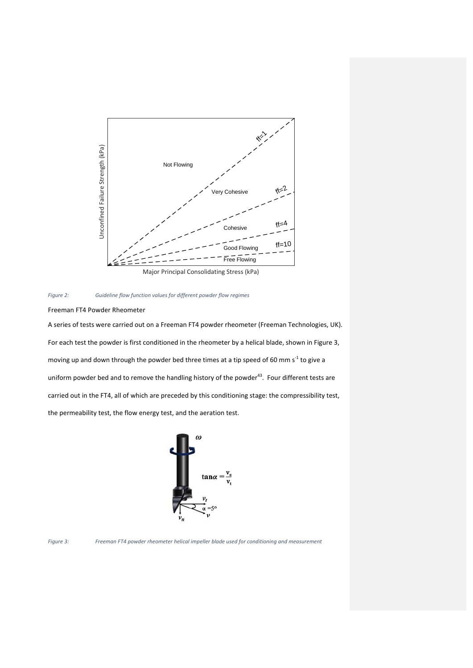



Freeman FT4 Powder Rheometer

A series of tests were carried out on a Freeman FT4 powder rheometer (Freeman Technologies, UK). For each test the powder is first conditioned in the rheometer by a helical blade, shown in Figure 3, moving up and down through the powder bed three times at a tip speed of 60 mm s<sup>-1</sup> to give a uniform powder bed and to remove the handling history of the powder<sup>43</sup>. Four different tests are carried out in the FT4, all of which are preceded by this conditioning stage: the compressibility test, the permeability test, the flow energy test, and the aeration test.





*Figure 3: Freeman FT4 powder rheometer helical impeller blade used for conditioning and measurement*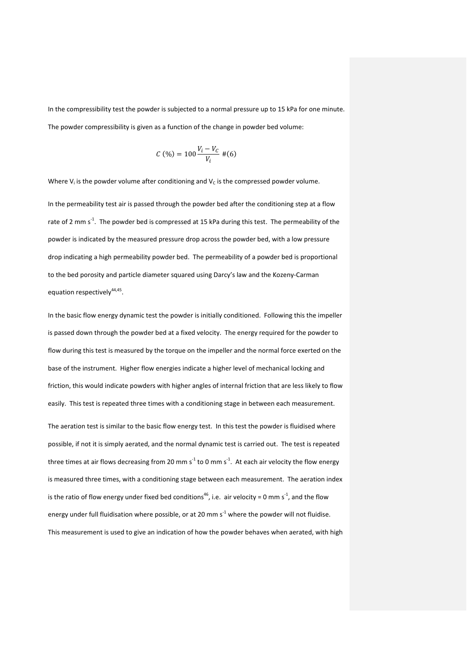In the compressibility test the powder is subjected to a normal pressure up to 15 kPa for one minute. The powder compressibility is given as a function of the change in powder bed volume:

$$
\mathcal{C} \ (\%) = 100 \frac{V_i - V_C}{V_i} \ \# (6)
$$

Where  $V_i$  is the powder volume after conditioning and  $V_c$  is the compressed powder volume.

In the permeability test air is passed through the powder bed after the conditioning step at a flow rate of 2 mm s<sup>-1</sup>. The powder bed is compressed at 15 kPa during this test. The permeability of the powder is indicated by the measured pressure drop across the powder bed, with a low pressure drop indicating a high permeability powder bed. The permeability of a powder bed is proportional to the bed porosity and particle diameter squared using Darcy's law and the Kozeny‐Carman equation respectively<sup>44,45</sup>.

In the basic flow energy dynamic test the powder is initially conditioned. Following this the impeller is passed down through the powder bed at a fixed velocity. The energy required for the powder to flow during this test is measured by the torque on the impeller and the normal force exerted on the base of the instrument. Higher flow energies indicate a higher level of mechanical locking and friction, this would indicate powders with higher angles of internal friction that are less likely to flow easily. This test is repeated three times with a conditioning stage in between each measurement.

The aeration test is similar to the basic flow energy test. In this test the powder is fluidised where possible, if not it is simply aerated, and the normal dynamic test is carried out. The test is repeated three times at air flows decreasing from 20 mm s<sup>-1</sup> to 0 mm s<sup>-1</sup>. At each air velocity the flow energy is measured three times, with a conditioning stage between each measurement. The aeration index is the ratio of flow energy under fixed bed conditions<sup>46</sup>, i.e. air velocity = 0 mm s<sup>-1</sup>, and the flow energy under full fluidisation where possible, or at 20 mm  $s<sup>-1</sup>$  where the powder will not fluidise. This measurement is used to give an indication of how the powder behaves when aerated, with high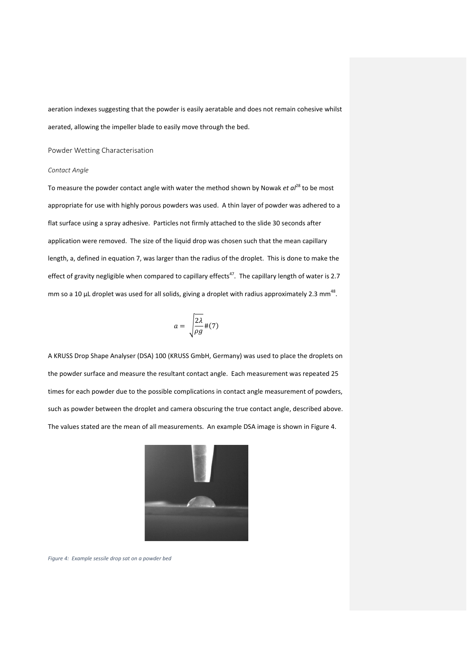aeration indexes suggesting that the powder is easily aeratable and does not remain cohesive whilst aerated, allowing the impeller blade to easily move through the bed.

Powder Wetting Characterisation

# *Contact Angle*

To measure the powder contact angle with water the method shown by Nowak *et al*<sup>28</sup> to be most appropriate for use with highly porous powders was used. A thin layer of powder was adhered to a flat surface using a spray adhesive. Particles not firmly attached to the slide 30 seconds after application were removed. The size of the liquid drop was chosen such that the mean capillary length, a, defined in equation 7, was larger than the radius of the droplet. This is done to make the effect of gravity negligible when compared to capillary effects<sup>47</sup>. The capillary length of water is 2.7 mm so a 10  $\mu$ L droplet was used for all solids, giving a droplet with radius approximately 2.3 mm<sup>48</sup>.

$$
a = \sqrt{\frac{2\lambda}{\rho g}} \, \#(7)
$$

A KRUSS Drop Shape Analyser (DSA) 100 (KRUSS GmbH, Germany) was used to place the droplets on the powder surface and measure the resultant contact angle. Each measurement was repeated 25 times for each powder due to the possible complications in contact angle measurement of powders, such as powder between the droplet and camera obscuring the true contact angle, described above. The values stated are the mean of all measurements. An example DSA image is shown in Figure 4.



*Figure 4: Example sessile drop sat on a powder bed*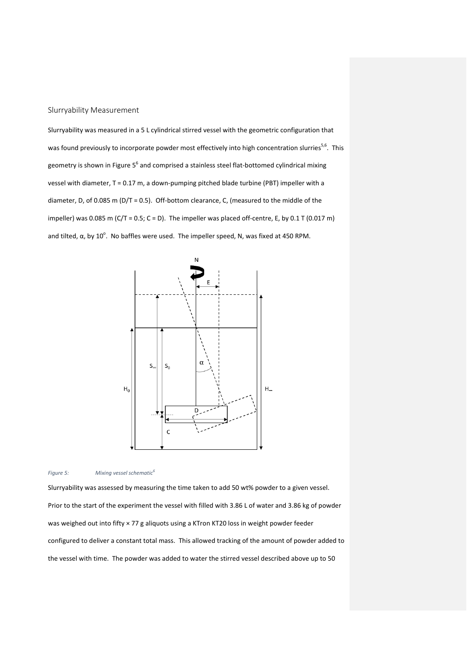# Slurryability Measurement

Slurryability was measured in a 5 L cylindrical stirred vessel with the geometric configuration that was found previously to incorporate powder most effectively into high concentration slurries<sup>5,6</sup>. This geometry is shown in Figure 5<sup>6</sup> and comprised a stainless steel flat-bottomed cylindrical mixing vessel with diameter, T = 0.17 m, a down-pumping pitched blade turbine (PBT) impeller with a diameter, D, of 0.085 m ( $D/T = 0.5$ ). Off-bottom clearance, C, (measured to the middle of the impeller) was 0.085 m (C/T = 0.5; C = D). The impeller was placed off-centre, E, by 0.1 T (0.017 m) and tilted,  $\alpha$ , by 10<sup>o</sup>. No baffles were used. The impeller speed, N, was fixed at 450 RPM.



*Figure 5: Mixing vessel schematic<sup>6</sup>*

Slurryability was assessed by measuring the time taken to add 50 wt% powder to a given vessel. Prior to the start of the experiment the vessel with filled with 3.86 L of water and 3.86 kg of powder was weighed out into fifty × 77 g aliquots using a KTron KT20 loss in weight powder feeder configured to deliver a constant total mass. This allowed tracking of the amount of powder added to the vessel with time. The powder was added to water the stirred vessel described above up to 50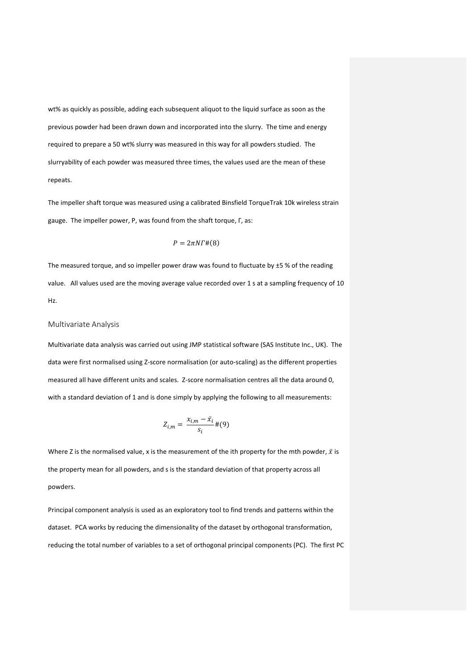wt% as quickly as possible, adding each subsequent aliquot to the liquid surface as soon as the previous powder had been drawn down and incorporated into the slurry. The time and energy required to prepare a 50 wt% slurry was measured in this way for all powders studied. The slurryability of each powder was measured three times, the values used are the mean of these repeats.

The impeller shaft torque was measured using a calibrated Binsfield TorqueTrak 10k wireless strain gauge. The impeller power, P, was found from the shaft torque, Γ, as:

$$
P=2\pi N\Gamma\#(8)
$$

The measured torque, and so impeller power draw was found to fluctuate by  $\pm 5$  % of the reading value. All values used are the moving average value recorded over 1 s at a sampling frequency of 10 Hz.

## Multivariate Analysis

Multivariate data analysis was carried out using JMP statistical software (SAS Institute Inc., UK). The data were first normalised using Z-score normalisation (or auto-scaling) as the different properties measured all have different units and scales. Z‐score normalisation centres all the data around 0, with a standard deviation of 1 and is done simply by applying the following to all measurements:

$$
Z_{i,m}=\frac{x_{i,m}-\bar{x}_i}{s_i}\#(9)
$$

Where Z is the normalised value, x is the measurement of the ith property for the mth powder,  $\bar{x}$  is the property mean for all powders, and s is the standard deviation of that property across all powders.

Principal component analysis is used as an exploratory tool to find trends and patterns within the dataset. PCA works by reducing the dimensionality of the dataset by orthogonal transformation, reducing the total number of variables to a set of orthogonal principal components (PC). The first PC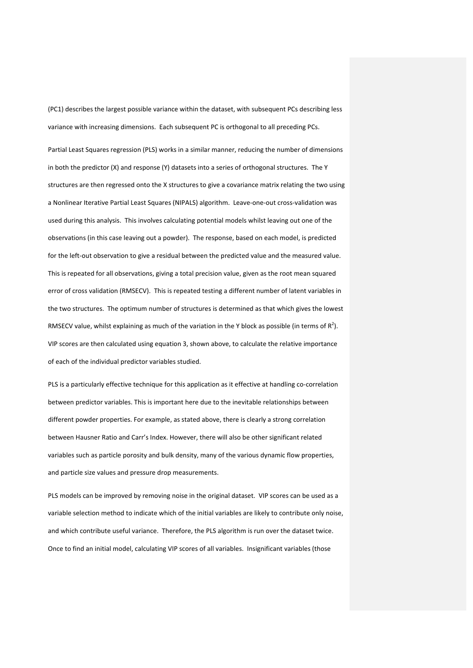(PC1) describes the largest possible variance within the dataset, with subsequent PCs describing less variance with increasing dimensions. Each subsequent PC is orthogonal to all preceding PCs.

Partial Least Squares regression (PLS) works in a similar manner, reducing the number of dimensions in both the predictor (X) and response (Y) datasets into a series of orthogonal structures. The Y structures are then regressed onto the X structures to give a covariance matrix relating the two using a Nonlinear Iterative Partial Least Squares (NIPALS) algorithm. Leave-one-out cross-validation was used during this analysis. This involves calculating potential models whilst leaving out one of the observations (in this case leaving out a powder). The response, based on each model, is predicted for the left-out observation to give a residual between the predicted value and the measured value. This is repeated for all observations, giving a total precision value, given as the root mean squared error of cross validation (RMSECV). This is repeated testing a different number of latent variables in the two structures. The optimum number of structures is determined as that which gives the lowest RMSECV value, whilst explaining as much of the variation in the Y block as possible (in terms of  $R^2$ ). VIP scores are then calculated using equation 3, shown above, to calculate the relative importance of each of the individual predictor variables studied.

PLS is a particularly effective technique for this application as it effective at handling co-correlation between predictor variables. This is important here due to the inevitable relationships between different powder properties. For example, as stated above, there is clearly a strong correlation between Hausner Ratio and Carr's Index. However, there will also be other significant related variables such as particle porosity and bulk density, many of the various dynamic flow properties, and particle size values and pressure drop measurements.

PLS models can be improved by removing noise in the original dataset. VIP scores can be used as a variable selection method to indicate which of the initial variables are likely to contribute only noise, and which contribute useful variance. Therefore, the PLS algorithm is run over the dataset twice. Once to find an initial model, calculating VIP scores of all variables. Insignificant variables (those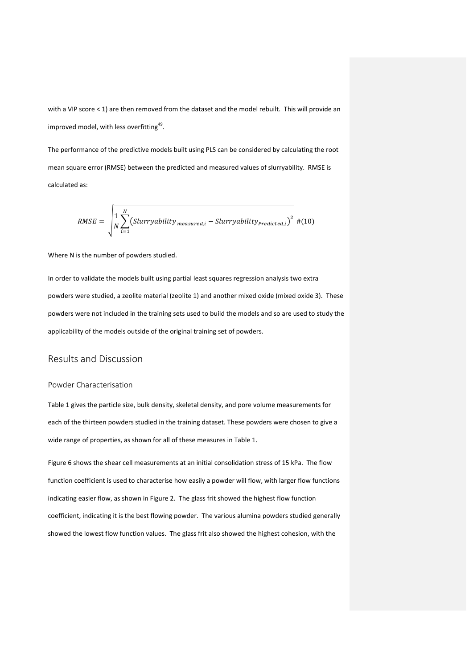with a VIP score < 1) are then removed from the dataset and the model rebuilt. This will provide an improved model, with less overfitting<sup>49</sup>.

The performance of the predictive models built using PLS can be considered by calculating the root mean square error (RMSE) between the predicted and measured values of slurryability. RMSE is calculated as:

$$
RMSE = \sqrt{\frac{1}{N} \sum_{i=1}^{N} (Slurryability_{measured,i} - Slurryability_{Predicted,i})^{2}} \#(10)
$$

Where N is the number of powders studied.

In order to validate the models built using partial least squares regression analysis two extra powders were studied, a zeolite material (zeolite 1) and another mixed oxide (mixed oxide 3). These powders were not included in the training sets used to build the models and so are used to study the applicability of the models outside of the original training set of powders.

# Results and Discussion

#### Powder Characterisation

Table 1 gives the particle size, bulk density, skeletal density, and pore volume measurements for each of the thirteen powders studied in the training dataset. These powders were chosen to give a wide range of properties, as shown for all of these measures in Table 1.

Figure 6 shows the shear cell measurements at an initial consolidation stress of 15 kPa. The flow function coefficient is used to characterise how easily a powder will flow, with larger flow functions indicating easier flow, as shown in Figure 2. The glass frit showed the highest flow function coefficient, indicating it is the best flowing powder. The various alumina powders studied generally showed the lowest flow function values. The glass frit also showed the highest cohesion, with the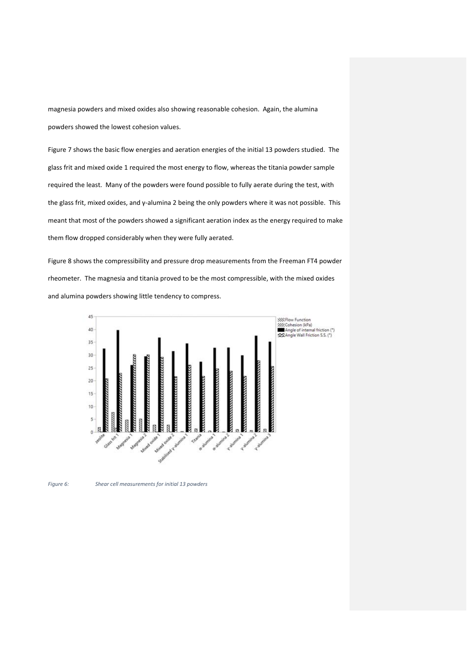magnesia powders and mixed oxides also showing reasonable cohesion. Again, the alumina powders showed the lowest cohesion values.

Figure 7 shows the basic flow energies and aeration energies of the initial 13 powders studied. The glass frit and mixed oxide 1 required the most energy to flow, whereas the titania powder sample required the least. Many of the powders were found possible to fully aerate during the test, with the glass frit, mixed oxides, and γ‐alumina 2 being the only powders where it was not possible. This meant that most of the powders showed a significant aeration index as the energy required to make them flow dropped considerably when they were fully aerated.

Figure 8 shows the compressibility and pressure drop measurements from the Freeman FT4 powder rheometer. The magnesia and titania proved to be the most compressible, with the mixed oxides and alumina powders showing little tendency to compress.



*Figure 6: Shear cell measurements for initial 13 powders*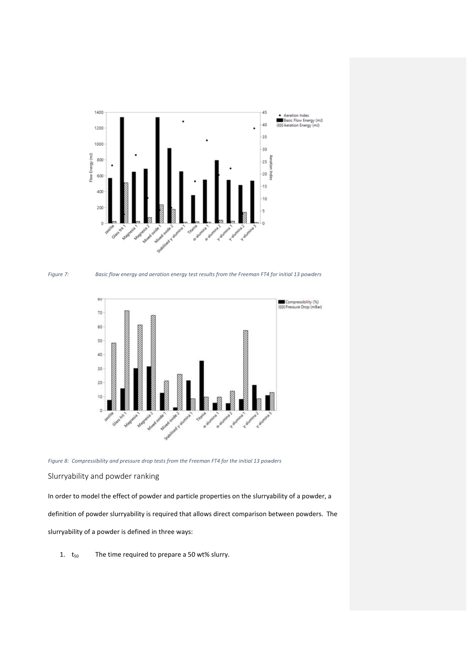





*Figure 8: Compressibility and pressure drop tests from the Freeman FT4 for the initial 13 powders*

# Slurryability and powder ranking

In order to model the effect of powder and particle properties on the slurryability of a powder, a definition of powder slurryability is required that allows direct comparison between powders. The slurryability of a powder is defined in three ways:

1.  $t_{50}$  The time required to prepare a 50 wt% slurry.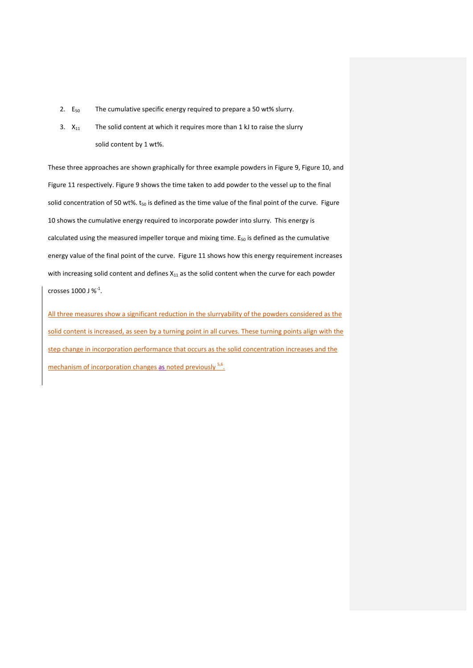- 2.  $E_{50}$  The cumulative specific energy required to prepare a 50 wt% slurry.
- 3.  $X_{11}$  The solid content at which it requires more than 1 kJ to raise the slurry solid content by 1 wt%.

These three approaches are shown graphically for three example powders in Figure 9, Figure 10, and Figure 11 respectively. Figure 9 shows the time taken to add powder to the vessel up to the final solid concentration of 50 wt%.  $t_{50}$  is defined as the time value of the final point of the curve. Figure 10 shows the cumulative energy required to incorporate powder into slurry. This energy is calculated using the measured impeller torque and mixing time.  $E_{50}$  is defined as the cumulative energy value of the final point of the curve. Figure 11 shows how this energy requirement increases with increasing solid content and defines  $X_{11}$  as the solid content when the curve for each powder crosses 1000 J  $\%$ <sup>-1</sup>.

All three measures show a significant reduction in the slurryability of the powders considered as the solid content is increased, as seen by a turning point in all curves. These turning points align with the step change in incorporation performance that occurs as the solid concentration increases and the mechanism of incorporation changes as noted previously <sup>5,6</sup>.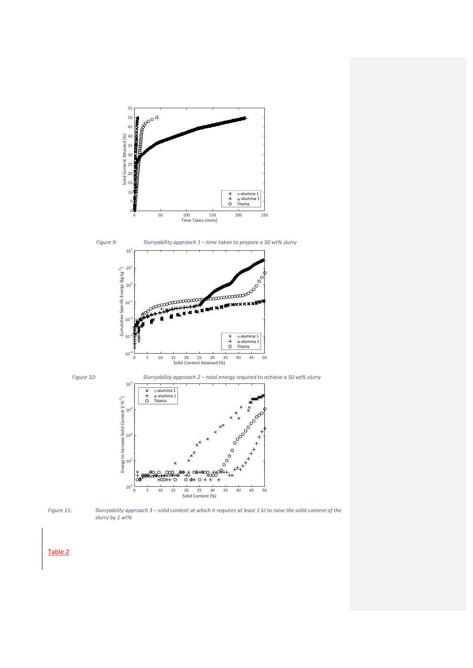





*Figure 10: Slurryability approach 2 – total energy required to achieve a 50 wt% slurry* 





Figure 11: Slurryability approach 3 - solid content at which it requires at least 1 kJ to raise the solid content of the *slurry by 1 wt%*

Table 2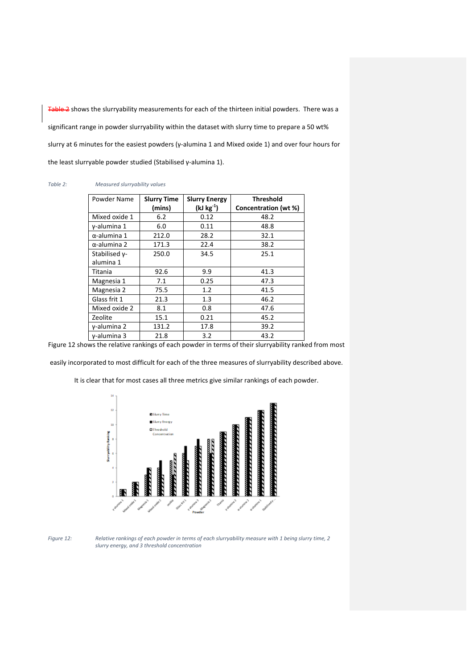Table 2 shows the slurryability measurements for each of the thirteen initial powders. There was a significant range in powder slurryability within the dataset with slurry time to prepare a 50 wt% slurry at 6 minutes for the easiest powders (γ‐alumina 1 and Mixed oxide 1) and over four hours for the least slurryable powder studied (Stabilised γ‐alumina 1).

#### *Table 2: Measured slurryability values*

| Powder Name         | <b>Slurry Time</b><br>(mins) | <b>Slurry Energy</b><br>$(kJ kg^{-1})$ | <b>Threshold</b><br>Concentration (wt %) |
|---------------------|------------------------------|----------------------------------------|------------------------------------------|
| Mixed oxide 1       | 6.2                          | 0.12                                   | 48.2                                     |
| γ-alumina 1         | 6.0                          | 0.11                                   | 48.8                                     |
| $\alpha$ -alumina 1 | 212.0                        | 28.2                                   | 32.1                                     |
| $\alpha$ -alumina 2 | 171.3                        | 22.4                                   | 38.2                                     |
| Stabilised y-       | 250.0                        | 34.5                                   | 25.1                                     |
| alumina 1           |                              |                                        |                                          |
| Titania             | 92.6                         | 9.9                                    | 41.3                                     |
| Magnesia 1          | 7.1                          | 0.25                                   | 47.3                                     |
| Magnesia 2          | 75.5                         | 1.2                                    | 41.5                                     |
| Glass frit 1        | 21.3                         | 1.3                                    | 46.2                                     |
| Mixed oxide 2       | 8.1                          | 0.8                                    | 47.6                                     |
| Zeolite             | 15.1                         | 0.21                                   | 45.2                                     |
| y-alumina 2         | 131.2                        | 17.8                                   | 39.2                                     |
| $v$ -alumina 3      | 21.8                         | 3.2                                    | 43.2                                     |

Figure 12 shows the relative rankings of each powder in terms of their slurryability ranked from most

easily incorporated to most difficult for each of the three measures of slurryability described above.

It is clear that for most cases all three metrics give similar rankings of each powder.



Figure 12: Relative rankings of each powder in terms of each slurryability measure with 1 being slurry time, 2 *slurry energy, and 3 threshold concentration*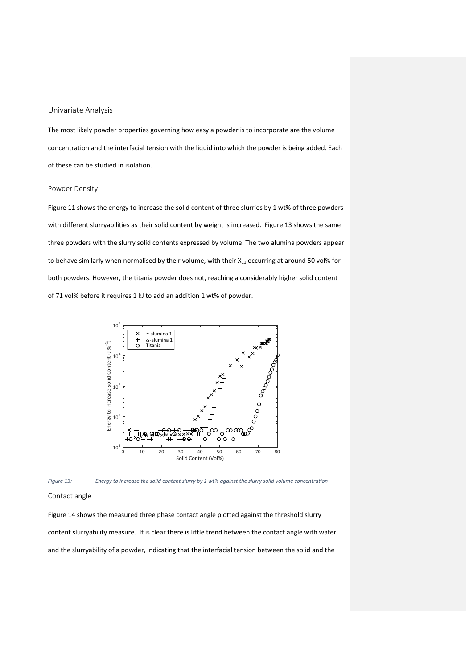# Univariate Analysis

The most likely powder properties governing how easy a powder is to incorporate are the volume concentration and the interfacial tension with the liquid into which the powder is being added. Each of these can be studied in isolation.

#### Powder Density

Figure 11 shows the energy to increase the solid content of three slurries by 1 wt% of three powders with different slurryabilities as their solid content by weight is increased. Figure 13 shows the same three powders with the slurry solid contents expressed by volume. The two alumina powders appear to behave similarly when normalised by their volume, with their  $X_{11}$  occurring at around 50 vol% for both powders. However, the titania powder does not, reaching a considerably higher solid content of 71 vol% before it requires 1 kJ to add an addition 1 wt% of powder.





#### Contact angle

Figure 14 shows the measured three phase contact angle plotted against the threshold slurry content slurryability measure. It is clear there is little trend between the contact angle with water and the slurryability of a powder, indicating that the interfacial tension between the solid and the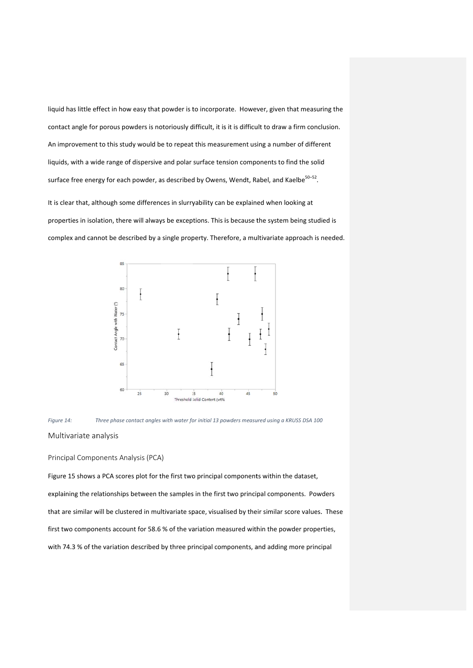liquid has little effect in how easy that powder is to incorporate. However, given that measuring the contact angle for porous powders is notoriously difficult, it is it is difficult to draw a firm conclusion. An improvement to this study would be to repeat this measurement using a number of different liquids, with a wide range of dispersive and polar surface tension components to find the solid surface free energy for each powder, as described by Owens, Wendt, Rabel, and Kaelbe<sup>50–52</sup>.

It is clear that, although some differences in slurryability can be explained when looking at liquids, with a wide range of dispersive and polar surface tension components to find the solid<br>surface free energy for each powder, as described by Owens, Wendt, Rabel, and Kaelbe<sup>50–52</sup>.<br>It is clear that, although some d complex and cannot be described by a single property. Therefore, a multivariate approach is needed.





## Principal Components Analysis (PCA)

Figure 15 shows a PCA scores plot for the first two principal components within the dataset, explaining the relationships between the samples in the first two principal components. Powders that are similar will be clustered in multivariate space, visualised by their similar score values. These first two components account for 58.6 % of the variation measured within the powder properties, with 74.3 % of the variation described by three principal components, and adding more principal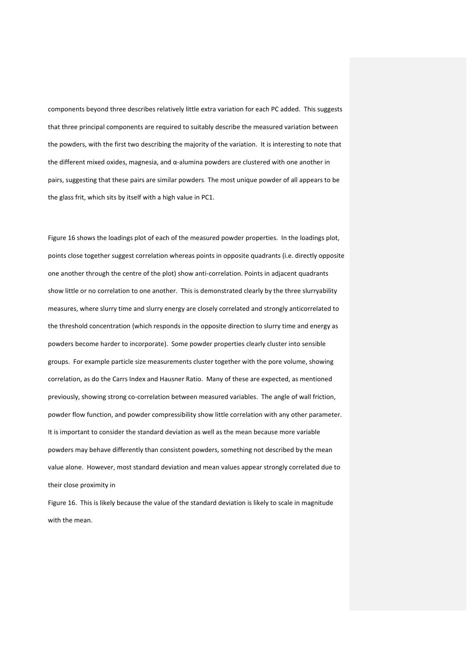components beyond three describes relatively little extra variation for each PC added. This suggests that three principal components are required to suitably describe the measured variation between the powders, with the first two describing the majority of the variation. It is interesting to note that the different mixed oxides, magnesia, and  $\alpha$ -alumina powders are clustered with one another in pairs, suggesting that these pairs are similar powders. The most unique powder of all appears to be the glass frit, which sits by itself with a high value in PC1.

Figure 16 shows the loadings plot of each of the measured powder properties. In the loadings plot, points close together suggest correlation whereas points in opposite quadrants (i.e. directly opposite one another through the centre of the plot) show anti‐correlation. Points in adjacent quadrants show little or no correlation to one another. This is demonstrated clearly by the three slurryability measures, where slurry time and slurry energy are closely correlated and strongly anticorrelated to the threshold concentration (which responds in the opposite direction to slurry time and energy as powders become harder to incorporate). Some powder properties clearly cluster into sensible groups. For example particle size measurements cluster together with the pore volume, showing correlation, as do the Carrs Index and Hausner Ratio. Many of these are expected, as mentioned previously, showing strong co‐correlation between measured variables. The angle of wall friction, powder flow function, and powder compressibility show little correlation with any other parameter. It is important to consider the standard deviation as well as the mean because more variable powders may behave differently than consistent powders, something not described by the mean value alone. However, most standard deviation and mean values appear strongly correlated due to their close proximity in

Figure 16. This is likely because the value of the standard deviation is likely to scale in magnitude with the mean.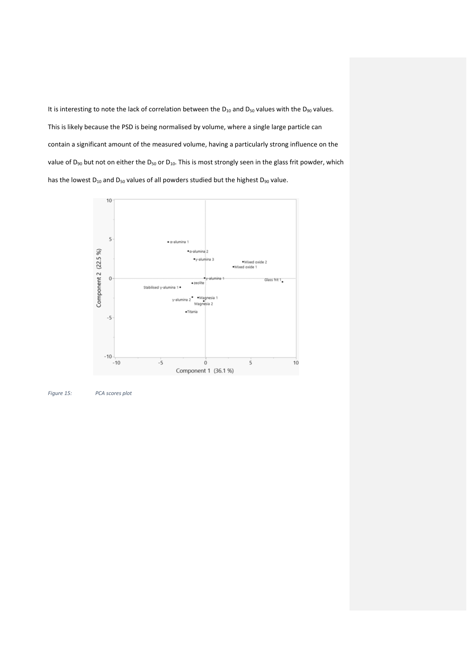It is interesting to note the lack of correlation between the  $D_{10}$  and  $D_{50}$  values with the  $D_{90}$  values. This is likely because the PSD is being normalised by volume, where a single large particle can contain a significant amount of the measured volume, having a particularly strong influence on the value of  $D_{90}$  but not on either the  $D_{50}$  or  $D_{10}$ . This is most strongly seen in the glass frit powder, which has the lowest  $D_{10}$  and  $D_{50}$  values of all powders studied but the highest  $D_{90}$  value.



*Figure 15: PCA scores plot*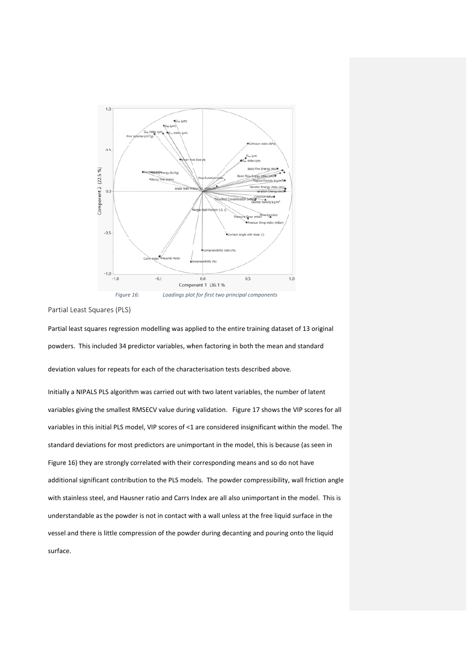

Partial Least Squares (PLS)

Partial least squares regression modelling was applied to the entire training dataset of 13 original powders. This included 34 predictor variables, when factoring in both the mean and standard deviation values for repeats for each of the characterisation tests described above.

Initially a NIPALS PLS algorithm was carried out with two latent variables, the number of latent variables giving the smallest RMSECV value during validation. Figure 17 shows the VIP scores for all variables in this initial PLS model, VIP scores of <1 are considered insignificant within the model. The standard deviations for most predictors are unimportant in the model, this is because (as seen in Figure 16) they are strongly correlated with their corresponding means and so do not have additional significant contribution to the PLS models. The powder compressibility, wall friction angle with stainless steel, and Hausner ratio and Carrs Index are all also unimportant in the model. This is understandable as the powder is not in contact with a wall unless at the free liquid surface in the vessel and there is little compression of the powder during decanting and pouring onto the liquid surfac ce.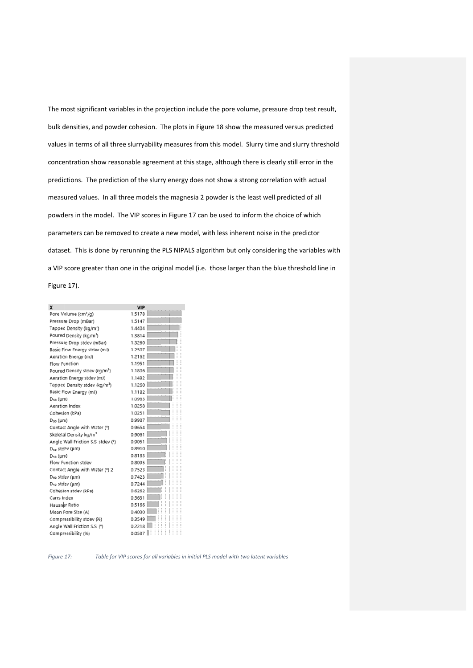The most significant variables in the projection include the pore volume, pressure drop test result, bulk densities, and powder cohesion. The plots in Figure 18 show the measured versus predicted values in terms of all three slurryability measures from this model. Slurry time and slurry threshold concentration show reasonable agreement at this stage, although there is clearly still error in the predictions. The prediction of the slurry energy does not show a strong correlation with actual measured values. In all three models the magnesia 2 powder is the least well predicted of all powders in the model. The VIP scores in Figure 17 can be used to inform the choice of which parameters can be removed to create a new model, with less inherent noise in the predictor dataset. This is done by rerunning the PLS NIPALS algorithm but only considering the variables with a VIP score greater than one in the original model (i.e. those larger than the blue threshold line in

Figure 17).

| X                                         | <b>VIP</b> |  |
|-------------------------------------------|------------|--|
| Pore Volume (cm <sup>3</sup> /g)          | 1.5178     |  |
| Pressure Drop (mBar)                      | 1.5147     |  |
| Tapped Density (kg/m <sup>3</sup> )       | 1,4404     |  |
| Poured Density (kg/m <sup>3</sup> )       | 1.3814     |  |
| Pressure Drop stdev (mBar)                | 1.3260     |  |
| Basic Flow Energy stdev (mJ)              | 1.2507     |  |
| Aeration Energy (mJ)                      | 1.2162     |  |
| Flow Function                             | 1.1951     |  |
| Poured Density stdev (kg/m <sup>3</sup> ) | 1.1806     |  |
| Aeration Energy stdev (mJ)                | 1.1492     |  |
| Tapped Density stdev (kg/m <sup>3</sup> ) | 1.1260     |  |
| Basic Flow Energy (mJ)                    | 1.1182     |  |
| $D_{so}$ ( $\mu$ m)                       | 1.0983     |  |
| Aeration Index                            | 1.0258     |  |
| Cohesion (kPa)                            | 1.0251     |  |
| $D_{90}$ ( $\mu$ m)                       | 0.9987     |  |
| Contact Angle with Water (°)              | 0.9654     |  |
| Skeletal Density kg/m <sup>3</sup>        | 0.9061     |  |
| Angle Wall Friction S.S. stdev (°)        | 0.9051     |  |
| D <sub>so</sub> stdev (µm)                | 0.8910     |  |
| $D_{10}$ (um)                             | 0.8183     |  |
| Flow Function stdev                       | 0.8095     |  |
| Contact Angle with Water (°) 2            | 0.7523     |  |
| D <sub>so</sub> stdev (µm)                | 0.7423     |  |
| D <sub>10</sub> stdev (um)                | 0.7244     |  |
| Cohesion stdev (kPa)                      | 0.6262     |  |
| Carrs Index                               | 0.5631     |  |
| Hausner Ratio                             | 0.5166     |  |
| Mean Pore Size (A)                        | 0.4030     |  |
| Compressibility stdev (%)                 | 0.3549     |  |
| Angle Wall Friction S.S. (°)              | 0.2218     |  |
| Compressibility (%)                       | 0.0587     |  |

*Figure 1 17: T* Table for VIP scores for all variables in initial PLS model with two latent variables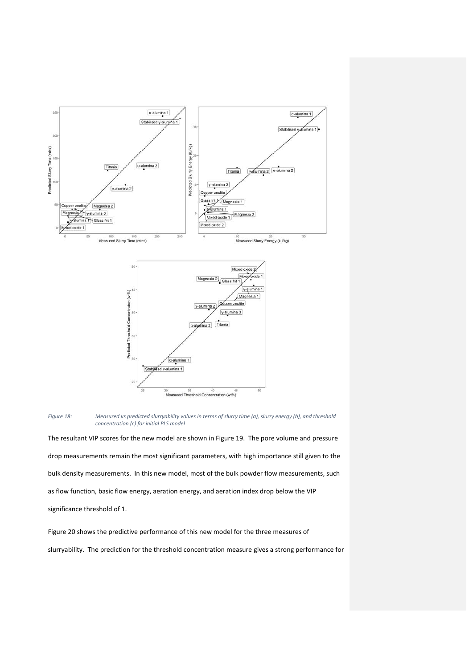



The resultant VIP scores for the new model are shown in Figure 19. The pore volume and pressure drop measurements remain the most significant parameters, with high importance still given to the bulk density measurements. In this new model, most of the bulk powder flow measurements, such as flow function, basic flow energy, aeration energy, and aeration index drop below the VIP significance threshold of 1.

Figure 20 shows the predictive performance of this new model for the three measures of slurryability. The prediction for the threshold concentration measure gives a strong performance for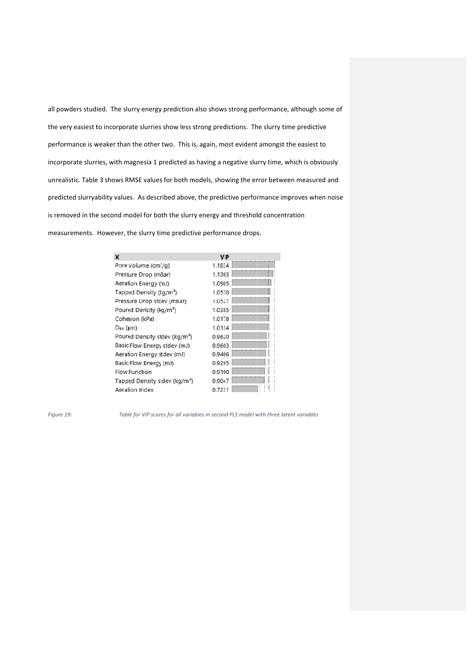all powders studied. The slurry energy prediction also shows strong performance, although some of the very easiest to incorporate slurries show less strong predictions. The slurry time predictive performance is weaker than the other two. This is, again, most evident amongst the easiest to incorporate slurries, with magnesia 1 predicted as having a negative slurry time, which is obviously unrealistic. Table 3 shows RMSE values for both models, showing the error between measured and predicted slurryability values. As described above, the predictive performance improves when noise is removed in the second model for both the slurry energy and threshold concentration measurements. However, the slurry time predictive performance drops.

| x                                         | <b>VIP</b> |    |
|-------------------------------------------|------------|----|
| Pore Volume (cm'/g)                       | 1.1834     |    |
| Pressure Drop (mBar)                      | 1.1303     |    |
| Aeration Energy (mJ)                      | 1.0905     |    |
| Tapped Density (kg/m <sup>3</sup> )       | 1.0570     |    |
| Pressure Drop stdev (mBar)                | 1.0527     |    |
| Poured Density (kg/m <sup>3</sup> )       | 1.0385     |    |
| Cohesion (kPa)                            | 1.0178     |    |
| $D_{50}$ (µm)                             | 1.0134     |    |
| Poured Density stdev (kg/m <sup>3</sup> ) | 0.9620     |    |
| Basic Flow Energy stdev (mJ)              | 0.9603     |    |
| Aeration Energy stdev (mJ)                | 0.9406     |    |
| Basic Flow Energy (mJ)                    | 0.9295     | ı: |
| <b>Flow Function</b>                      | 0.9100     |    |
| Tapped Density stdev (kg/m <sup>3</sup> ) | 0.9047     | ŀ  |
| Aeration Index                            | 0.7231     |    |

*Figure 1 19:* 

Table for VIP scores for all variables in second PLS model with three latent variables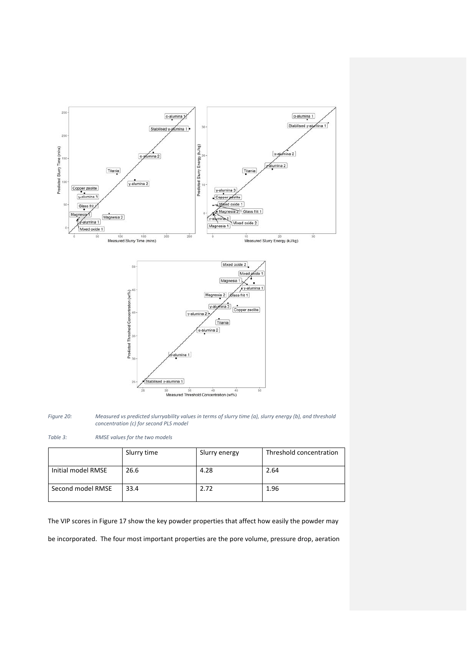



*Table 3: RMSE values for the two models*

|                    | Slurry time | Slurry energy | Threshold concentration |
|--------------------|-------------|---------------|-------------------------|
| Initial model RMSE | 26.6        | 4.28          | 2.64                    |
| Second model RMSE  | 33.4        | 2.72          | 1.96                    |

The VIP scores in Figure 17 show the key powder properties that affect how easily the powder may

be incorporated. The four most important properties are the pore volume, pressure drop, aeration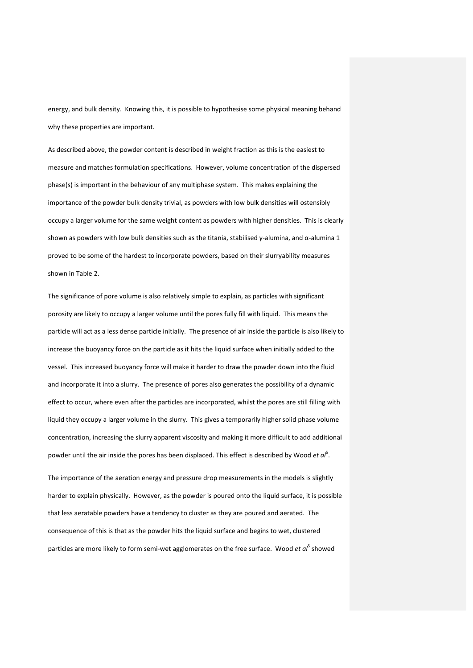energy, and bulk density. Knowing this, it is possible to hypothesise some physical meaning behand why these properties are important.

As described above, the powder content is described in weight fraction as this is the easiest to measure and matches formulation specifications. However, volume concentration of the dispersed phase(s) is important in the behaviour of any multiphase system. This makes explaining the importance of the powder bulk density trivial, as powders with low bulk densities will ostensibly occupy a larger volume for the same weight content as powders with higher densities. This is clearly shown as powders with low bulk densities such as the titania, stabilised  $\gamma$ -alumina, and  $\alpha$ -alumina 1 proved to be some of the hardest to incorporate powders, based on their slurryability measures shown in Table 2.

The significance of pore volume is also relatively simple to explain, as particles with significant porosity are likely to occupy a larger volume until the pores fully fill with liquid. This means the particle will act as a less dense particle initially. The presence of air inside the particle is also likely to increase the buoyancy force on the particle as it hits the liquid surface when initially added to the vessel. This increased buoyancy force will make it harder to draw the powder down into the fluid and incorporate it into a slurry. The presence of pores also generates the possibility of a dynamic effect to occur, where even after the particles are incorporated, whilst the pores are still filling with liquid they occupy a larger volume in the slurry. This gives a temporarily higher solid phase volume concentration, increasing the slurry apparent viscosity and making it more difficult to add additional powder until the air inside the pores has been displaced. This effect is described by Wood et al<sup>5</sup>.

The importance of the aeration energy and pressure drop measurements in the models is slightly harder to explain physically. However, as the powder is poured onto the liquid surface, it is possible that less aeratable powders have a tendency to cluster as they are poured and aerated. The consequence of this is that as the powder hits the liquid surface and begins to wet, clustered particles are more likely to form semi‐wet agglomerates on the free surface. Wood *et al*<sup>5</sup> showed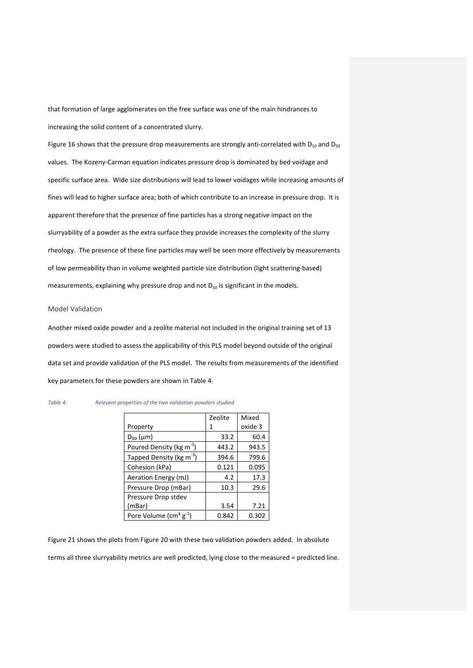that formation of large agglomerates on the free surface was one of the main hindrances to increasing the solid content of a concentrated slurry.

Figure 16 shows that the pressure drop measurements are strongly anti-correlated with  $D_{10}$  and  $D_{50}$ values. The Kozeny‐Carman equation indicates pressure drop is dominated by bed voidage and specific surface area. Wide size distributions will lead to lower voidages while increasing amounts of fines will lead to higher surface area; both of which contribute to an increase in pressure drop. It is apparent therefore that the presence of fine particles has a strong negative impact on the slurryability of a powder as the extra surface they provide increases the complexity of the slurry rheology. The presence of these fine particles may well be seen more effectively by measurements of low permeability than in volume weighted particle size distribution (light scattering‐based) measurements, explaining why pressure drop and not  $D_{10}$  is significant in the models.

#### Model Validation

Another mixed oxide powder and a zeolite material not included in the original training set of 13 powders were studied to assess the applicability of this PLS model beyond outside of the original data set and provide validation of the PLS model. The results from measurements of the identified key parameters for these powders are shown in Table 4.

#### *Table 4: Relevant properties of the two validation powders studied*

|                                              | Zeolite | Mixed   |
|----------------------------------------------|---------|---------|
| Property                                     | 1       | oxide 3 |
| $D_{50}$ ( $\mu$ m)                          | 33.2    | 60.4    |
| Poured Density (kg m <sup>-3</sup> )         | 443.2   | 943.5   |
| Tapped Density (kg m <sup>-3</sup> )         | 394.6   | 799.6   |
| Cohesion (kPa)                               | 0.121   | 0.095   |
| Aeration Energy (mJ)                         | 4.2     | 17.3    |
| Pressure Drop (mBar)                         | 10.3    | 29.6    |
| Pressure Drop stdev                          |         |         |
| (mBar)                                       | 3.54    | 7.21    |
| Pore Volume ( $\text{cm}^3 \text{ g}^{-1}$ ) | 0.842   | 0.302   |

Figure 21 shows the plots from Figure 20 with these two validation powders added. In absolute

terms all three slurryability metrics are well predicted, lying close to the measured = predicted line.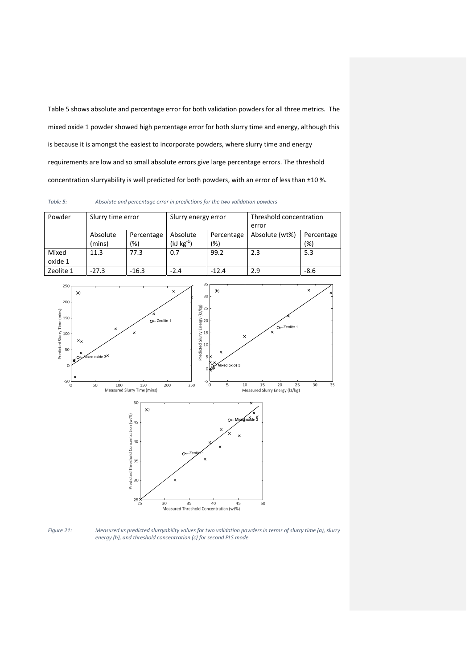Table 5 shows absolute and percentage error for both validation powders for all three metrics. The mixed oxide 1 powder showed high percentage error for both slurry time and energy, although this is because it is amongst the easiest to incorporate powders, where slurry time and energy requirements are low and so small absolute errors give large percentage errors. The threshold concentration slurryability is well predicted for both powders, with an error of less than ±10 %.

*Table 5: Absolute and percentage error in predictions for the two validation powders*

| Powder    | Slurry time error      |         | Slurry energy error |            | Threshold concentration |            |
|-----------|------------------------|---------|---------------------|------------|-------------------------|------------|
|           |                        |         |                     |            | error                   |            |
|           | Absolute<br>Percentage |         | Absolute            | Percentage | Absolute (wt%)          | Percentage |
|           | (mins)                 | (%)     | $(kJ kg^{-1})$      | (%)        |                         | (%)        |
| Mixed     | 11.3                   | 77.3    | 0.7                 | 99.2       | 2.3                     | 5.3        |
| oxide 1   |                        |         |                     |            |                         |            |
| Zeolite 1 | $-27.3$                | $-16.3$ | $-2.4$              | $-12.4$    | 2.9                     | $-8.6$     |



Figure 21: Measured vs predicted slurryability values for two validation powders in terms of slurry time (a), slurry *energy (b), and threshold concentration (c) for second PLS mode*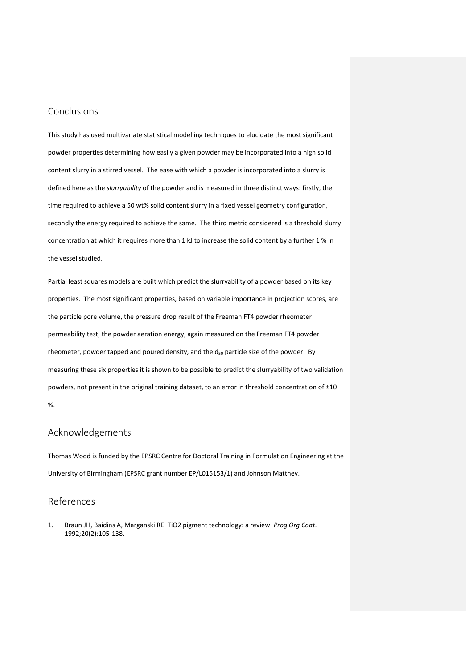# Conclusions

This study has used multivariate statistical modelling techniques to elucidate the most significant powder properties determining how easily a given powder may be incorporated into a high solid content slurry in a stirred vessel. The ease with which a powder is incorporated into a slurry is defined here as the *slurryability* of the powder and is measured in three distinct ways: firstly, the time required to achieve a 50 wt% solid content slurry in a fixed vessel geometry configuration, secondly the energy required to achieve the same. The third metric considered is a threshold slurry concentration at which it requires more than 1 kJ to increase the solid content by a further 1 % in the vessel studied.

Partial least squares models are built which predict the slurryability of a powder based on its key properties. The most significant properties, based on variable importance in projection scores, are the particle pore volume, the pressure drop result of the Freeman FT4 powder rheometer permeability test, the powder aeration energy, again measured on the Freeman FT4 powder rheometer, powder tapped and poured density, and the  $d_{50}$  particle size of the powder. By measuring these six properties it is shown to be possible to predict the slurryability of two validation powders, not present in the original training dataset, to an error in threshold concentration of ±10 %.

# Acknowledgements

Thomas Wood is funded by the EPSRC Centre for Doctoral Training in Formulation Engineering at the University of Birmingham (EPSRC grant number EP/L015153/1) and Johnson Matthey.

# References

1. Braun JH, Baidins A, Marganski RE. TiO2 pigment technology: a review. *Prog Org Coat*. 1992;20(2):105‐138.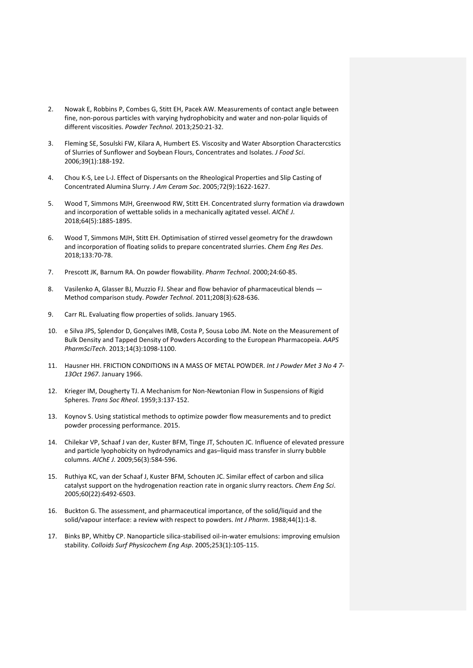- 2. Nowak E, Robbins P, Combes G, Stitt EH, Pacek AW. Measurements of contact angle between fine, non‐porous particles with varying hydrophobicity and water and non‐polar liquids of different viscosities. *Powder Technol*. 2013;250:21‐32.
- 3. Fleming SE, Sosulski FW, Kilara A, Humbert ES. Viscosity and Water Absorption Charactercstics of Slurries of Sunflower and Soybean Flours, Concentrates and Isolates. *J Food Sci*. 2006;39(1):188‐192.
- 4. Chou K-S, Lee L-J. Effect of Dispersants on the Rheological Properties and Slip Casting of Concentrated Alumina Slurry. *J Am Ceram Soc*. 2005;72(9):1622‐1627.
- 5. Wood T, Simmons MJH, Greenwood RW, Stitt EH. Concentrated slurry formation via drawdown and incorporation of wettable solids in a mechanically agitated vessel. *AIChE J*. 2018;64(5):1885‐1895.
- 6. Wood T, Simmons MJH, Stitt EH. Optimisation of stirred vessel geometry for the drawdown and incorporation of floating solids to prepare concentrated slurries. *Chem Eng Res Des*. 2018;133:70‐78.
- 7. Prescott JK, Barnum RA. On powder flowability. *Pharm Technol*. 2000;24:60‐85.
- 8. Vasilenko A, Glasser BJ, Muzzio FJ. Shear and flow behavior of pharmaceutical blends Method comparison study. *Powder Technol*. 2011;208(3):628‐636.
- 9. Carr RL. Evaluating flow properties of solids. January 1965.
- 10. e Silva JPS, Splendor D, Gonçalves IMB, Costa P, Sousa Lobo JM. Note on the Measurement of Bulk Density and Tapped Density of Powders According to the European Pharmacopeia. *AAPS PharmSciTech*. 2013;14(3):1098‐1100.
- 11. Hausner HH. FRICTION CONDITIONS IN A MASS OF METAL POWDER. *Int J Powder Met 3 No 4 7‐ 13Oct 1967*. January 1966.
- 12. Krieger IM, Dougherty TJ. A Mechanism for Non-Newtonian Flow in Suspensions of Rigid Spheres. *Trans Soc Rheol*. 1959;3:137‐152.
- 13. Koynov S. Using statistical methods to optimize powder flow measurements and to predict powder processing performance. 2015.
- 14. Chilekar VP, Schaaf J van der, Kuster BFM, Tinge JT, Schouten JC. Influence of elevated pressure and particle lyophobicity on hydrodynamics and gas–liquid mass transfer in slurry bubble columns. *AIChE J*. 2009;56(3):584‐596.
- 15. Ruthiya KC, van der Schaaf J, Kuster BFM, Schouten JC. Similar effect of carbon and silica catalyst support on the hydrogenation reaction rate in organic slurry reactors. *Chem Eng Sci*. 2005;60(22):6492‐6503.
- 16. Buckton G. The assessment, and pharmaceutical importance, of the solid/liquid and the solid/vapour interface: a review with respect to powders. *Int J Pharm*. 1988;44(1):1‐8.
- 17. Binks BP, Whitby CP. Nanoparticle silica‐stabilised oil‐in‐water emulsions: improving emulsion stability. *Colloids Surf Physicochem Eng Asp*. 2005;253(1):105‐115.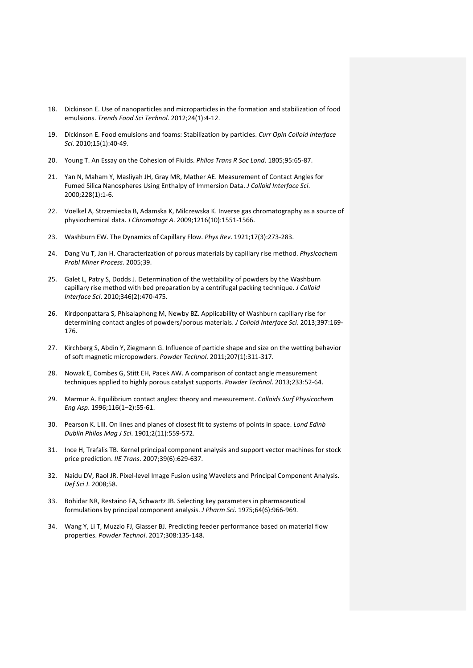- 18. Dickinson E. Use of nanoparticles and microparticles in the formation and stabilization of food emulsions. *Trends Food Sci Technol*. 2012;24(1):4‐12.
- 19. Dickinson E. Food emulsions and foams: Stabilization by particles. *Curr Opin Colloid Interface Sci*. 2010;15(1):40‐49.
- 20. Young T. An Essay on the Cohesion of Fluids. *Philos Trans R Soc Lond*. 1805;95:65‐87.
- 21. Yan N, Maham Y, Masliyah JH, Gray MR, Mather AE. Measurement of Contact Angles for Fumed Silica Nanospheres Using Enthalpy of Immersion Data. *J Colloid Interface Sci*. 2000;228(1):1‐6.
- 22. Voelkel A, Strzemiecka B, Adamska K, Milczewska K. Inverse gas chromatography as a source of physiochemical data. *J Chromatogr A*. 2009;1216(10):1551‐1566.
- 23. Washburn EW. The Dynamics of Capillary Flow. *Phys Rev*. 1921;17(3):273‐283.
- 24. Dang Vu T, Jan H. Characterization of porous materials by capillary rise method. *Physicochem Probl Miner Process*. 2005;39.
- 25. Galet L, Patry S, Dodds J. Determination of the wettability of powders by the Washburn capillary rise method with bed preparation by a centrifugal packing technique. *J Colloid Interface Sci*. 2010;346(2):470‐475.
- 26. Kirdponpattara S, Phisalaphong M, Newby BZ. Applicability of Washburn capillary rise for determining contact angles of powders/porous materials. *J Colloid Interface Sci*. 2013;397:169‐ 176.
- 27. Kirchberg S, Abdin Y, Ziegmann G. Influence of particle shape and size on the wetting behavior of soft magnetic micropowders. *Powder Technol*. 2011;207(1):311‐317.
- 28. Nowak E, Combes G, Stitt EH, Pacek AW. A comparison of contact angle measurement techniques applied to highly porous catalyst supports. *Powder Technol*. 2013;233:52‐64.
- 29. Marmur A. Equilibrium contact angles: theory and measurement. *Colloids Surf Physicochem Eng Asp*. 1996;116(1–2):55‐61.
- 30. Pearson K. LIII. On lines and planes of closest fit to systems of points in space. *Lond Edinb Dublin Philos Mag J Sci*. 1901;2(11):559‐572.
- 31. Ince H, Trafalis TB. Kernel principal component analysis and support vector machines for stock price prediction. *IIE Trans*. 2007;39(6):629‐637.
- 32. Naidu DV, Raol JR. Pixel-level Image Fusion using Wavelets and Principal Component Analysis. *Def Sci J*. 2008;58.
- 33. Bohidar NR, Restaino FA, Schwartz JB. Selecting key parameters in pharmaceutical formulations by principal component analysis. *J Pharm Sci*. 1975;64(6):966‐969.
- 34. Wang Y, Li T, Muzzio FJ, Glasser BJ. Predicting feeder performance based on material flow properties. *Powder Technol*. 2017;308:135‐148.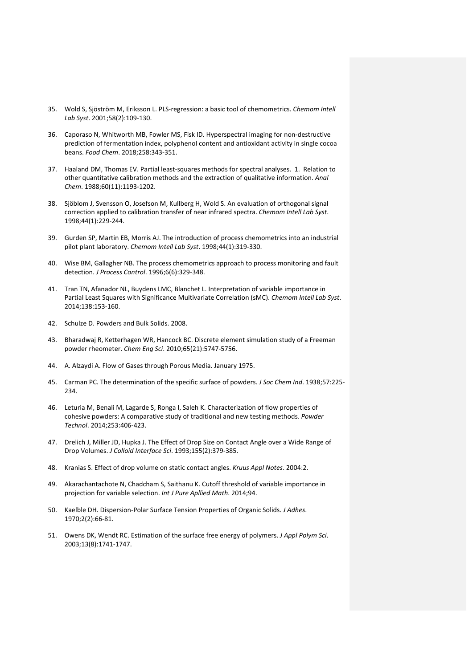- 35. Wold S, Sjöström M, Eriksson L. PLS‐regression: a basic tool of chemometrics. *Chemom Intell Lab Syst*. 2001;58(2):109‐130.
- 36. Caporaso N, Whitworth MB, Fowler MS, Fisk ID. Hyperspectral imaging for non-destructive prediction of fermentation index, polyphenol content and antioxidant activity in single cocoa beans. *Food Chem*. 2018;258:343‐351.
- 37. Haaland DM, Thomas EV. Partial least-squares methods for spectral analyses. 1. Relation to other quantitative calibration methods and the extraction of qualitative information. *Anal Chem*. 1988;60(11):1193‐1202.
- 38. Sjöblom J, Svensson O, Josefson M, Kullberg H, Wold S. An evaluation of orthogonal signal correction applied to calibration transfer of near infrared spectra. *Chemom Intell Lab Syst*. 1998;44(1):229‐244.
- 39. Gurden SP, Martin EB, Morris AJ. The introduction of process chemometrics into an industrial pilot plant laboratory. *Chemom Intell Lab Syst*. 1998;44(1):319‐330.
- 40. Wise BM, Gallagher NB. The process chemometrics approach to process monitoring and fault detection. *J Process Control*. 1996;6(6):329‐348.
- 41. Tran TN, Afanador NL, Buydens LMC, Blanchet L. Interpretation of variable importance in Partial Least Squares with Significance Multivariate Correlation (sMC). *Chemom Intell Lab Syst*. 2014;138:153‐160.
- 42. Schulze D. Powders and Bulk Solids. 2008.
- 43. Bharadwaj R, Ketterhagen WR, Hancock BC. Discrete element simulation study of a Freeman powder rheometer. *Chem Eng Sci*. 2010;65(21):5747‐5756.
- 44. A. Alzaydi A. Flow of Gases through Porous Media. January 1975.
- 45. Carman PC. The determination of the specific surface of powders. *J Soc Chem Ind*. 1938;57:225‐ 234.
- 46. Leturia M, Benali M, Lagarde S, Ronga I, Saleh K. Characterization of flow properties of cohesive powders: A comparative study of traditional and new testing methods. *Powder Technol*. 2014;253:406‐423.
- 47. Drelich J, Miller JD, Hupka J. The Effect of Drop Size on Contact Angle over a Wide Range of Drop Volumes. *J Colloid Interface Sci*. 1993;155(2):379‐385.
- 48. Kranias S. Effect of drop volume on static contact angles. *Kruus Appl Notes*. 2004:2.
- 49. Akarachantachote N, Chadcham S, Saithanu K. Cutoff threshold of variable importance in projection for variable selection. *Int J Pure Apllied Math*. 2014;94.
- 50. Kaelble DH. Dispersion‐Polar Surface Tension Properties of Organic Solids. *J Adhes*. 1970;2(2):66‐81.
- 51. Owens DK, Wendt RC. Estimation of the surface free energy of polymers. *J Appl Polym Sci*. 2003;13(8):1741‐1747.